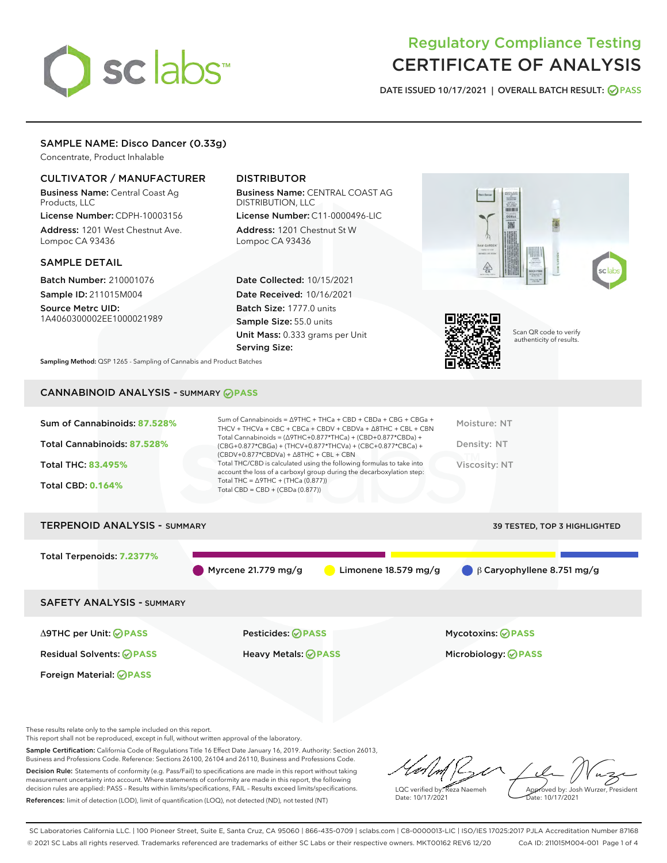# sclabs

# Regulatory Compliance Testing CERTIFICATE OF ANALYSIS

DATE ISSUED 10/17/2021 | OVERALL BATCH RESULT: @ PASS

## SAMPLE NAME: Disco Dancer (0.33g)

Concentrate, Product Inhalable

## CULTIVATOR / MANUFACTURER

Business Name: Central Coast Ag Products, LLC

License Number: CDPH-10003156 Address: 1201 West Chestnut Ave. Lompoc CA 93436

#### SAMPLE DETAIL

Batch Number: 210001076 Sample ID: 211015M004

Source Metrc UID: 1A4060300002EE1000021989

# DISTRIBUTOR

Business Name: CENTRAL COAST AG DISTRIBUTION, LLC

License Number: C11-0000496-LIC Address: 1201 Chestnut St W Lompoc CA 93436

Date Collected: 10/15/2021 Date Received: 10/16/2021 Batch Size: 1777.0 units Sample Size: 55.0 units Unit Mass: 0.333 grams per Unit Serving Size:





Scan QR code to verify authenticity of results.

Sampling Method: QSP 1265 - Sampling of Cannabis and Product Batches

# CANNABINOID ANALYSIS - SUMMARY **PASS**

| Sum of Cannabinoids: 87.528% | Sum of Cannabinoids = $\triangle$ 9THC + THCa + CBD + CBDa + CBG + CBGa +<br>THCV + THCVa + CBC + CBCa + CBDV + CBDVa + $\Delta$ 8THC + CBL + CBN                                    | Moisture: NT  |
|------------------------------|--------------------------------------------------------------------------------------------------------------------------------------------------------------------------------------|---------------|
| Total Cannabinoids: 87.528%  | Total Cannabinoids = $(\Delta$ 9THC+0.877*THCa) + (CBD+0.877*CBDa) +<br>(CBG+0.877*CBGa) + (THCV+0.877*THCVa) + (CBC+0.877*CBCa) +<br>$(CBDV+0.877*CBDVa) + \Delta 8THC + CBL + CBN$ | Density: NT   |
| <b>Total THC: 83.495%</b>    | Total THC/CBD is calculated using the following formulas to take into<br>account the loss of a carboxyl group during the decarboxylation step:                                       | Viscosity: NT |
| <b>Total CBD: 0.164%</b>     | Total THC = $\triangle$ 9THC + (THCa (0.877))<br>Total CBD = $CBD + (CBDa (0.877))$                                                                                                  |               |
|                              |                                                                                                                                                                                      |               |

# TERPENOID ANALYSIS - SUMMARY 39 TESTED, TOP 3 HIGHLIGHTED Total Terpenoids: **7.2377%** Myrcene 21.779 mg/g **C** Limonene 18.579 mg/g β Caryophyllene 8.751 mg/g SAFETY ANALYSIS - SUMMARY Δ9THC per Unit: **PASS** Pesticides: **PASS** Mycotoxins: **PASS**

Foreign Material: **PASS**

Residual Solvents: **PASS** Heavy Metals: **PASS** Microbiology: **PASS**

These results relate only to the sample included on this report.

This report shall not be reproduced, except in full, without written approval of the laboratory.

Sample Certification: California Code of Regulations Title 16 Effect Date January 16, 2019. Authority: Section 26013, Business and Professions Code. Reference: Sections 26100, 26104 and 26110, Business and Professions Code. Decision Rule: Statements of conformity (e.g. Pass/Fail) to specifications are made in this report without taking

measurement uncertainty into account. Where statements of conformity are made in this report, the following decision rules are applied: PASS – Results within limits/specifications, FAIL – Results exceed limits/specifications. References: limit of detection (LOD), limit of quantification (LOQ), not detected (ND), not tested (NT)

LQC verified by: Reza Naemeh Date: 10/17/2021 Approved by: Josh Wurzer, President ate: 10/17/2021

SC Laboratories California LLC. | 100 Pioneer Street, Suite E, Santa Cruz, CA 95060 | 866-435-0709 | sclabs.com | C8-0000013-LIC | ISO/IES 17025:2017 PJLA Accreditation Number 87168 © 2021 SC Labs all rights reserved. Trademarks referenced are trademarks of either SC Labs or their respective owners. MKT00162 REV6 12/20 CoA ID: 211015M004-001 Page 1 of 4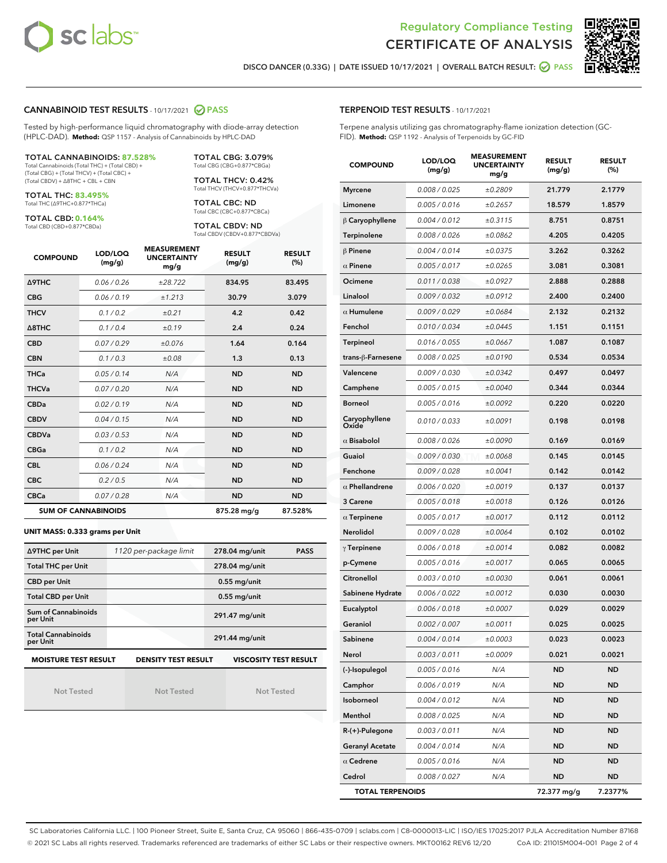



DISCO DANCER (0.33G) | DATE ISSUED 10/17/2021 | OVERALL BATCH RESULT: **● PASS** 

#### CANNABINOID TEST RESULTS - 10/17/2021 2 PASS

Tested by high-performance liquid chromatography with diode-array detection (HPLC-DAD). **Method:** QSP 1157 - Analysis of Cannabinoids by HPLC-DAD

#### TOTAL CANNABINOIDS: **87.528%**

Total Cannabinoids (Total THC) + (Total CBD) + (Total CBG) + (Total THCV) + (Total CBC) + (Total CBDV) + ∆8THC + CBL + CBN

TOTAL THC: **83.495%** Total THC (∆9THC+0.877\*THCa)

TOTAL CBD: **0.164%**

Total CBD (CBD+0.877\*CBDa)

TOTAL CBG: 3.079% Total CBG (CBG+0.877\*CBGa)

TOTAL THCV: 0.42% Total THCV (THCV+0.877\*THCVa)

TOTAL CBC: ND Total CBC (CBC+0.877\*CBCa)

TOTAL CBDV: ND Total CBDV (CBDV+0.877\*CBDVa)

| <b>COMPOUND</b>            | LOD/LOQ<br>(mg/g) | <b>MEASUREMENT</b><br><b>UNCERTAINTY</b><br>mg/g | <b>RESULT</b><br>(mg/g) | <b>RESULT</b><br>(%) |
|----------------------------|-------------------|--------------------------------------------------|-------------------------|----------------------|
| <b>A9THC</b>               | 0.06 / 0.26       | ±28.722                                          | 834.95                  | 83.495               |
| <b>CBG</b>                 | 0.06 / 0.19       | ±1.213                                           | 30.79                   | 3.079                |
| <b>THCV</b>                | 0.1 / 0.2         | ±0.21                                            | 4.2                     | 0.42                 |
| $\triangle$ 8THC           | 0.1/0.4           | ±0.19                                            | 2.4                     | 0.24                 |
| <b>CBD</b>                 | 0.07/0.29         | ±0.076                                           | 1.64                    | 0.164                |
| <b>CBN</b>                 | 0.1 / 0.3         | ±0.08                                            | 1.3                     | 0.13                 |
| <b>THCa</b>                | 0.05/0.14         | N/A                                              | <b>ND</b>               | <b>ND</b>            |
| <b>THCVa</b>               | 0.07/0.20         | N/A                                              | <b>ND</b>               | <b>ND</b>            |
| <b>CBDa</b>                | 0.02/0.19         | N/A                                              | <b>ND</b>               | <b>ND</b>            |
| <b>CBDV</b>                | 0.04 / 0.15       | N/A                                              | <b>ND</b>               | <b>ND</b>            |
| <b>CBDVa</b>               | 0.03/0.53         | N/A                                              | <b>ND</b>               | <b>ND</b>            |
| <b>CBGa</b>                | 0.1 / 0.2         | N/A                                              | <b>ND</b>               | <b>ND</b>            |
| <b>CBL</b>                 | 0.06 / 0.24       | N/A                                              | <b>ND</b>               | <b>ND</b>            |
| <b>CBC</b>                 | 0.2 / 0.5         | N/A                                              | <b>ND</b>               | <b>ND</b>            |
| <b>CBCa</b>                | 0.07/0.28         | N/A                                              | <b>ND</b>               | <b>ND</b>            |
| <b>SUM OF CANNABINOIDS</b> |                   |                                                  | 875.28 mg/g             | 87.528%              |

#### **UNIT MASS: 0.333 grams per Unit**

| ∆9THC per Unit                        | 1120 per-package limit     | 278.04 mg/unit<br><b>PASS</b> |
|---------------------------------------|----------------------------|-------------------------------|
| <b>Total THC per Unit</b>             |                            | 278.04 mg/unit                |
| <b>CBD per Unit</b>                   |                            | $0.55$ mg/unit                |
| <b>Total CBD per Unit</b>             |                            | $0.55$ mg/unit                |
| Sum of Cannabinoids<br>per Unit       |                            | 291.47 mg/unit                |
| <b>Total Cannabinoids</b><br>per Unit |                            | 291.44 mg/unit                |
| <b>MOISTURE TEST RESULT</b>           | <b>DENSITY TEST RESULT</b> | <b>VISCOSITY TEST RESULT</b>  |

Not Tested

Not Tested

Not Tested

TERPENOID TEST RESULTS - 10/17/2021

Terpene analysis utilizing gas chromatography-flame ionization detection (GC-FID). **Method:** QSP 1192 - Analysis of Terpenoids by GC-FID

| <b>COMPOUND</b>         | LOD/LOQ<br>(mg/g)    | <b>MEASUREMENT</b><br><b>UNCERTAINTY</b><br>mg/g | <b>RESULT</b><br>(mg/g) | <b>RESULT</b><br>$(\%)$ |
|-------------------------|----------------------|--------------------------------------------------|-------------------------|-------------------------|
| <b>Myrcene</b>          | 0.008 / 0.025        | ±0.2809                                          | 21.779                  | 2.1779                  |
| Limonene                | 0.005 / 0.016        | ±0.2657                                          | 18.579                  | 1.8579                  |
| $\beta$ Caryophyllene   | 0.004 / 0.012        | ±0.3115                                          | 8.751                   | 0.8751                  |
| Terpinolene             | 0.008 / 0.026        | ±0.0862                                          | 4.205                   | 0.4205                  |
| $\beta$ Pinene          | 0.004 / 0.014        | ±0.0375                                          | 3.262                   | 0.3262                  |
| $\alpha$ Pinene         | 0.005 / 0.017        | ±0.0265                                          | 3.081                   | 0.3081                  |
| Ocimene                 | 0.011/0.038          | ±0.0927                                          | 2.888                   | 0.2888                  |
| Linalool                | 0.009 / 0.032        | ±0.0912                                          | 2.400                   | 0.2400                  |
| $\alpha$ Humulene       | 0.009 / 0.029        | ±0.0684                                          | 2.132                   | 0.2132                  |
| Fenchol                 | 0.010 / 0.034        | ±0.0445                                          | 1.151                   | 0.1151                  |
| Terpineol               | 0.016 / 0.055        | ±0.0667                                          | 1.087                   | 0.1087                  |
| trans-ß-Farnesene       | 0.008 / 0.025        | ±0.0190                                          | 0.534                   | 0.0534                  |
| Valencene               | <i>0.009 / 0.030</i> | ±0.0342                                          | 0.497                   | 0.0497                  |
| Camphene                | 0.005 / 0.015        | ±0.0040                                          | 0.344                   | 0.0344                  |
| <b>Borneol</b>          | 0.005 / 0.016        | ±0.0092                                          | 0.220                   | 0.0220                  |
| Caryophyllene<br>Oxide  | 0.010 / 0.033        | ±0.0091                                          | 0.198                   | 0.0198                  |
| $\alpha$ Bisabolol      | 0.008 / 0.026        | ±0.0090                                          | 0.169                   | 0.0169                  |
| Guaiol                  | 0.009 / 0.030        | ±0.0068                                          | 0.145                   | 0.0145                  |
| Fenchone                | 0.009 / 0.028        | ±0.0041                                          | 0.142                   | 0.0142                  |
| $\alpha$ Phellandrene   | 0.006 / 0.020        | ±0.0019                                          | 0.137                   | 0.0137                  |
| 3 Carene                | 0.005 / 0.018        | ±0.0018                                          | 0.126                   | 0.0126                  |
| $\alpha$ Terpinene      | 0.005 / 0.017        | ±0.0017                                          | 0.112                   | 0.0112                  |
| Nerolidol               | 0.009 / 0.028        | ±0.0064                                          | 0.102                   | 0.0102                  |
| $\gamma$ Terpinene      | 0.006 / 0.018        | ±0.0014                                          | 0.082                   | 0.0082                  |
| p-Cymene                | 0.005 / 0.016        | ±0.0017                                          | 0.065                   | 0.0065                  |
| Citronellol             | 0.003 / 0.010        | ±0.0030                                          | 0.061                   | 0.0061                  |
| Sabinene Hydrate        | 0.006 / 0.022        | ±0.0012                                          | 0.030                   | 0.0030                  |
| Eucalyptol              | 0.006 / 0.018        | ±0.0007                                          | 0.029                   | 0.0029                  |
| Geraniol                | 0.002 / 0.007        | ±0.0011                                          | 0.025                   | 0.0025                  |
| Sabinene                | 0.004 / 0.014        | ±0.0003                                          | 0.023                   | 0.0023                  |
| Nerol                   | 0.003 / 0.011        | ±0.0009                                          | 0.021                   | 0.0021                  |
| (-)-Isopulegol          | 0.005 / 0.016        | N/A                                              | ND                      | ND                      |
| Camphor                 | 0.006 / 0.019        | N/A                                              | ND                      | ND                      |
| Isoborneol              | 0.004 / 0.012        | N/A                                              | ND                      | ND                      |
| Menthol                 | 0.008 / 0.025        | N/A                                              | ND                      | ND                      |
| R-(+)-Pulegone          | 0.003 / 0.011        | N/A                                              | ND                      | ND                      |
| <b>Geranyl Acetate</b>  | 0.004 / 0.014        | N/A                                              | ND                      | ND                      |
| $\alpha$ Cedrene        | 0.005 / 0.016        | N/A                                              | ND                      | ND                      |
| Cedrol                  | 0.008 / 0.027        | N/A                                              | ND                      | ND                      |
| <b>TOTAL TERPENOIDS</b> |                      |                                                  | 72.377 mg/g             | 7.2377%                 |

SC Laboratories California LLC. | 100 Pioneer Street, Suite E, Santa Cruz, CA 95060 | 866-435-0709 | sclabs.com | C8-0000013-LIC | ISO/IES 17025:2017 PJLA Accreditation Number 87168 © 2021 SC Labs all rights reserved. Trademarks referenced are trademarks of either SC Labs or their respective owners. MKT00162 REV6 12/20 CoA ID: 211015M004-001 Page 2 of 4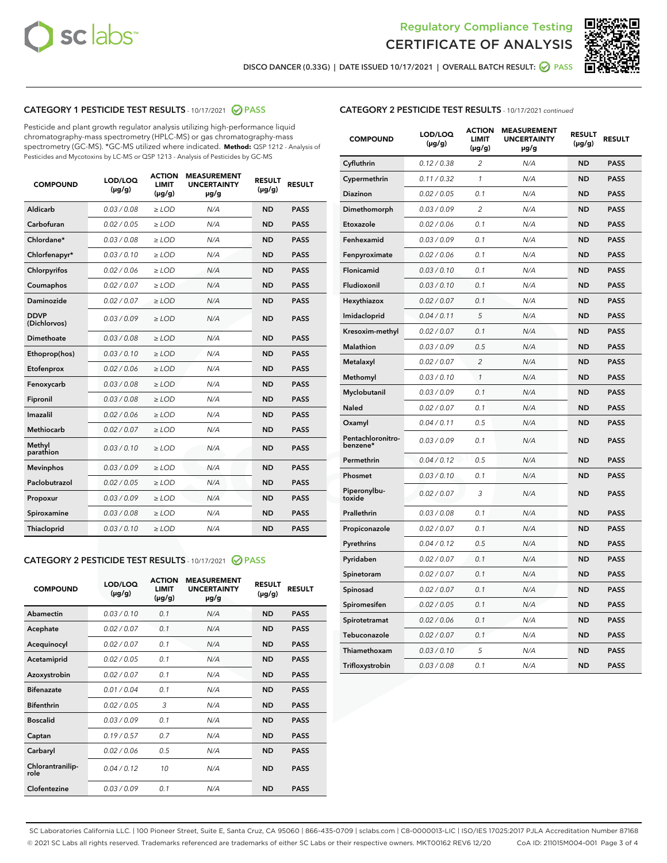



DISCO DANCER (0.33G) | DATE ISSUED 10/17/2021 | OVERALL BATCH RESULT: @ PASS

# CATEGORY 1 PESTICIDE TEST RESULTS - 10/17/2021 @ PASS

Pesticide and plant growth regulator analysis utilizing high-performance liquid chromatography-mass spectrometry (HPLC-MS) or gas chromatography-mass spectrometry (GC-MS). \*GC-MS utilized where indicated. **Method:** QSP 1212 - Analysis of Pesticides and Mycotoxins by LC-MS or QSP 1213 - Analysis of Pesticides by GC-MS

| <b>COMPOUND</b>             | LOD/LOQ<br>$(\mu g/g)$ | <b>ACTION</b><br><b>LIMIT</b><br>$(\mu g/g)$ | <b>MEASUREMENT</b><br><b>UNCERTAINTY</b><br>µg/g | <b>RESULT</b><br>$(\mu g/g)$ | <b>RESULT</b> |
|-----------------------------|------------------------|----------------------------------------------|--------------------------------------------------|------------------------------|---------------|
| Aldicarb                    | 0.03 / 0.08            | $\geq$ LOD                                   | N/A                                              | <b>ND</b>                    | <b>PASS</b>   |
| Carbofuran                  | 0.02/0.05              | $\ge$ LOD                                    | N/A                                              | <b>ND</b>                    | <b>PASS</b>   |
| Chlordane*                  | 0.03 / 0.08            | $\ge$ LOD                                    | N/A                                              | <b>ND</b>                    | <b>PASS</b>   |
| Chlorfenapyr*               | 0.03/0.10              | $\ge$ LOD                                    | N/A                                              | <b>ND</b>                    | <b>PASS</b>   |
| Chlorpyrifos                | 0.02 / 0.06            | $\ge$ LOD                                    | N/A                                              | <b>ND</b>                    | <b>PASS</b>   |
| Coumaphos                   | 0.02 / 0.07            | $\ge$ LOD                                    | N/A                                              | <b>ND</b>                    | <b>PASS</b>   |
| Daminozide                  | 0.02 / 0.07            | $\ge$ LOD                                    | N/A                                              | <b>ND</b>                    | <b>PASS</b>   |
| <b>DDVP</b><br>(Dichlorvos) | 0.03/0.09              | $\ge$ LOD                                    | N/A                                              | <b>ND</b>                    | <b>PASS</b>   |
| Dimethoate                  | 0.03 / 0.08            | $\ge$ LOD                                    | N/A                                              | <b>ND</b>                    | <b>PASS</b>   |
| Ethoprop(hos)               | 0.03/0.10              | $\ge$ LOD                                    | N/A                                              | <b>ND</b>                    | <b>PASS</b>   |
| Etofenprox                  | 0.02 / 0.06            | $\ge$ LOD                                    | N/A                                              | <b>ND</b>                    | <b>PASS</b>   |
| Fenoxycarb                  | 0.03/0.08              | $\ge$ LOD                                    | N/A                                              | <b>ND</b>                    | <b>PASS</b>   |
| Fipronil                    | 0.03 / 0.08            | $\ge$ LOD                                    | N/A                                              | <b>ND</b>                    | <b>PASS</b>   |
| Imazalil                    | 0.02 / 0.06            | $\ge$ LOD                                    | N/A                                              | <b>ND</b>                    | <b>PASS</b>   |
| <b>Methiocarb</b>           | 0.02 / 0.07            | $\ge$ LOD                                    | N/A                                              | <b>ND</b>                    | <b>PASS</b>   |
| Methyl<br>parathion         | 0.03/0.10              | $\ge$ LOD                                    | N/A                                              | <b>ND</b>                    | <b>PASS</b>   |
| <b>Mevinphos</b>            | 0.03/0.09              | $\ge$ LOD                                    | N/A                                              | <b>ND</b>                    | <b>PASS</b>   |
| Paclobutrazol               | 0.02 / 0.05            | $\ge$ LOD                                    | N/A                                              | <b>ND</b>                    | <b>PASS</b>   |
| Propoxur                    | 0.03/0.09              | $\ge$ LOD                                    | N/A                                              | <b>ND</b>                    | <b>PASS</b>   |
| Spiroxamine                 | 0.03 / 0.08            | $\ge$ LOD                                    | N/A                                              | <b>ND</b>                    | <b>PASS</b>   |
| <b>Thiacloprid</b>          | 0.03/0.10              | $\ge$ LOD                                    | N/A                                              | <b>ND</b>                    | <b>PASS</b>   |
|                             |                        |                                              |                                                  |                              |               |

# CATEGORY 2 PESTICIDE TEST RESULTS - 10/17/2021 @ PASS

| <b>ACTION</b><br><b>MEASUREMENT</b><br>LOD/LOO<br><b>RESULT</b><br><b>RESULT</b><br><b>UNCERTAINTY</b><br><b>COMPOUND</b><br>LIMIT<br>$(\mu g/g)$<br>$(\mu g/g)$<br>$(\mu g/g)$<br>$\mu$ g/g<br>Abamectin<br>0.03/0.10<br>0.1<br><b>ND</b><br><b>PASS</b><br>N/A<br>0.02/0.07<br>0.1<br>N/A<br><b>ND</b><br><b>PASS</b><br>Acephate<br>0.02/0.07<br>0.1<br>N/A<br><b>ND</b><br><b>PASS</b><br>Acequinocyl |  |
|-----------------------------------------------------------------------------------------------------------------------------------------------------------------------------------------------------------------------------------------------------------------------------------------------------------------------------------------------------------------------------------------------------------|--|
|                                                                                                                                                                                                                                                                                                                                                                                                           |  |
|                                                                                                                                                                                                                                                                                                                                                                                                           |  |
|                                                                                                                                                                                                                                                                                                                                                                                                           |  |
|                                                                                                                                                                                                                                                                                                                                                                                                           |  |
| 0.02/0.05<br><b>ND</b><br>0.1<br>N/A<br><b>PASS</b><br>Acetamiprid                                                                                                                                                                                                                                                                                                                                        |  |
| 0.02/0.07<br>0.1<br><b>ND</b><br><b>PASS</b><br>Azoxystrobin<br>N/A                                                                                                                                                                                                                                                                                                                                       |  |
| <b>Bifenazate</b><br>0.01/0.04<br>0.1<br>N/A<br><b>ND</b><br><b>PASS</b>                                                                                                                                                                                                                                                                                                                                  |  |
| <b>Bifenthrin</b><br>0.02/0.05<br>3<br>N/A<br><b>ND</b><br><b>PASS</b>                                                                                                                                                                                                                                                                                                                                    |  |
| <b>Boscalid</b><br>0.03/0.09<br>0.1<br><b>ND</b><br>N/A<br><b>PASS</b>                                                                                                                                                                                                                                                                                                                                    |  |
| 0.19/0.57<br>0.7<br>N/A<br><b>ND</b><br><b>PASS</b><br>Captan                                                                                                                                                                                                                                                                                                                                             |  |
| <b>ND</b><br>0.02/0.06<br>0.5<br>N/A<br><b>PASS</b><br>Carbaryl                                                                                                                                                                                                                                                                                                                                           |  |
| Chlorantranilip-<br>0.04/0.12<br>10<br>N/A<br><b>ND</b><br><b>PASS</b><br>role                                                                                                                                                                                                                                                                                                                            |  |
| Clofentezine<br>0.03/0.09<br>0.1<br>N/A<br><b>ND</b><br><b>PASS</b>                                                                                                                                                                                                                                                                                                                                       |  |

# CATEGORY 2 PESTICIDE TEST RESULTS - 10/17/2021 continued

| <b>COMPOUND</b>               | LOD/LOQ<br>(µg/g) | <b>ACTION</b><br>LIMIT<br>(µg/g) | <b>MEASUREMENT</b><br><b>UNCERTAINTY</b><br>µg/g | <b>RESULT</b><br>(µg/g) | <b>RESULT</b> |
|-------------------------------|-------------------|----------------------------------|--------------------------------------------------|-------------------------|---------------|
| Cyfluthrin                    | 0.12 / 0.38       | $\overline{c}$                   | N/A                                              | <b>ND</b>               | <b>PASS</b>   |
| Cypermethrin                  | 0.11/0.32         | 1                                | N/A                                              | <b>ND</b>               | <b>PASS</b>   |
| Diazinon                      | 0.02 / 0.05       | 0.1                              | N/A                                              | <b>ND</b>               | <b>PASS</b>   |
| Dimethomorph                  | 0.03 / 0.09       | 2                                | N/A                                              | <b>ND</b>               | <b>PASS</b>   |
| Etoxazole                     | 0.02 / 0.06       | 0.1                              | N/A                                              | <b>ND</b>               | <b>PASS</b>   |
| Fenhexamid                    | 0.03 / 0.09       | 0.1                              | N/A                                              | <b>ND</b>               | <b>PASS</b>   |
| Fenpyroximate                 | 0.02 / 0.06       | 0.1                              | N/A                                              | <b>ND</b>               | <b>PASS</b>   |
| Flonicamid                    | 0.03 / 0.10       | 0.1                              | N/A                                              | <b>ND</b>               | <b>PASS</b>   |
| Fludioxonil                   | 0.03 / 0.10       | 0.1                              | N/A                                              | <b>ND</b>               | <b>PASS</b>   |
| Hexythiazox                   | 0.02 / 0.07       | 0.1                              | N/A                                              | <b>ND</b>               | <b>PASS</b>   |
| Imidacloprid                  | 0.04 / 0.11       | 5                                | N/A                                              | <b>ND</b>               | <b>PASS</b>   |
| Kresoxim-methyl               | 0.02 / 0.07       | 0.1                              | N/A                                              | <b>ND</b>               | <b>PASS</b>   |
| <b>Malathion</b>              | 0.03 / 0.09       | 0.5                              | N/A                                              | <b>ND</b>               | <b>PASS</b>   |
| Metalaxyl                     | 0.02 / 0.07       | $\overline{c}$                   | N/A                                              | <b>ND</b>               | <b>PASS</b>   |
| Methomyl                      | 0.03 / 0.10       | $\mathcal{I}$                    | N/A                                              | <b>ND</b>               | <b>PASS</b>   |
| Myclobutanil                  | 0.03 / 0.09       | 0.1                              | N/A                                              | <b>ND</b>               | <b>PASS</b>   |
| Naled                         | 0.02 / 0.07       | 0.1                              | N/A                                              | <b>ND</b>               | <b>PASS</b>   |
| Oxamyl                        | 0.04 / 0.11       | 0.5                              | N/A                                              | <b>ND</b>               | <b>PASS</b>   |
| Pentachloronitro-<br>benzene* | 0.03 / 0.09       | 0.1                              | N/A                                              | <b>ND</b>               | <b>PASS</b>   |
| Permethrin                    | 0.04/0.12         | 0.5                              | N/A                                              | <b>ND</b>               | <b>PASS</b>   |
| Phosmet                       | 0.03 / 0.10       | 0.1                              | N/A                                              | <b>ND</b>               | <b>PASS</b>   |
| Piperonylbu-<br>toxide        | 0.02 / 0.07       | 3                                | N/A                                              | <b>ND</b>               | <b>PASS</b>   |
| Prallethrin                   | 0.03 / 0.08       | 0.1                              | N/A                                              | <b>ND</b>               | <b>PASS</b>   |
| Propiconazole                 | 0.02 / 0.07       | 0.1                              | N/A                                              | <b>ND</b>               | <b>PASS</b>   |
| Pyrethrins                    | 0.04 / 0.12       | 0.5                              | N/A                                              | <b>ND</b>               | <b>PASS</b>   |
| Pyridaben                     | 0.02 / 0.07       | 0.1                              | N/A                                              | <b>ND</b>               | <b>PASS</b>   |
| Spinetoram                    | 0.02 / 0.07       | 0.1                              | N/A                                              | <b>ND</b>               | <b>PASS</b>   |
| Spinosad                      | 0.02 / 0.07       | 0.1                              | N/A                                              | <b>ND</b>               | <b>PASS</b>   |
| Spiromesifen                  | 0.02 / 0.05       | 0.1                              | N/A                                              | <b>ND</b>               | <b>PASS</b>   |
| Spirotetramat                 | 0.02 / 0.06       | 0.1                              | N/A                                              | ND                      | <b>PASS</b>   |
| Tebuconazole                  | 0.02 / 0.07       | 0.1                              | N/A                                              | <b>ND</b>               | <b>PASS</b>   |
| Thiamethoxam                  | 0.03 / 0.10       | 5                                | N/A                                              | <b>ND</b>               | <b>PASS</b>   |
| Trifloxystrobin               | 0.03 / 0.08       | 0.1                              | N/A                                              | ND                      | <b>PASS</b>   |

SC Laboratories California LLC. | 100 Pioneer Street, Suite E, Santa Cruz, CA 95060 | 866-435-0709 | sclabs.com | C8-0000013-LIC | ISO/IES 17025:2017 PJLA Accreditation Number 87168 © 2021 SC Labs all rights reserved. Trademarks referenced are trademarks of either SC Labs or their respective owners. MKT00162 REV6 12/20 CoA ID: 211015M004-001 Page 3 of 4